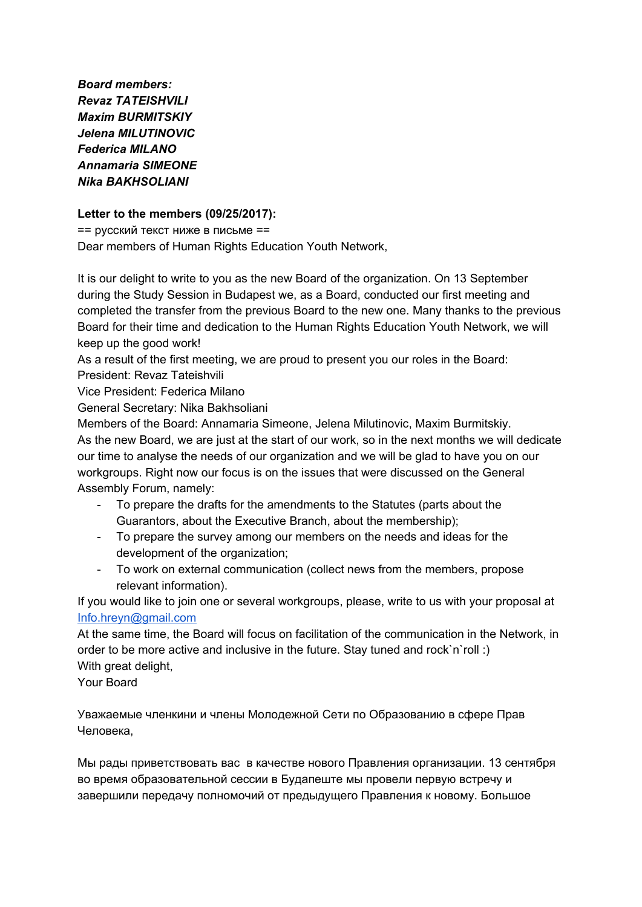*Board members: Revaz TATEISHVILI Maxim BURMITSKIY Jelena MILUTINOVIC Federica MILANO Annamaria SIMEONE Nika BAKHSOLIANI*

### **Letter to the members (09/25/2017):**

== русский текст ниже в письме ==

Dear members of Human Rights Education Youth Network,

It is our delight to write to you as the new Board of the organization. On 13 September during the Study Session in Budapest we, as a Board, conducted our first meeting and completed the transfer from the previous Board to the new one. Many thanks to the previous Board for their time and dedication to the Human Rights Education Youth Network, we will keep up the good work!

As a result of the first meeting, we are proud to present you our roles in the Board:

President: Revaz Tateishvili

Vice President: Federica Milano

General Secretary: Nika Bakhsoliani

Members of the Board: Annamaria Simeone, Jelena Milutinovic, Maxim Burmitskiy. As the new Board, we are just at the start of our work, so in the next months we will dedicate our time to analyse the needs of our organization and we will be glad to have you on our workgroups. Right now our focus is on the issues that were discussed on the General Assembly Forum, namely:

- To prepare the drafts for the amendments to the Statutes (parts about the Guarantors, about the Executive Branch, about the membership);
- To prepare the survey among our members on the needs and ideas for the development of the organization;
- To work on external communication (collect news from the members, propose relevant information).

If you would like to join one or several workgroups, please, write to us with your proposal at [Info.hreyn@gmail.com](mailto:Info.hreyn@gmail.com)

At the same time, the Board will focus on facilitation of the communication in the Network, in order to be more active and inclusive in the future. Stay tuned and rock`n`roll :) With great delight,

Your Board

Уважаемые членкини и члены Молодежной Сети по Образованию в сфере Прав Человека,

Мы рады приветствовать вас в качестве нового Правления организации. 13 сентября во время образовательной сессии в Будапеште мы провели первую встречу и завершили передачу полномочий от предыдущего Правления к новому. Большое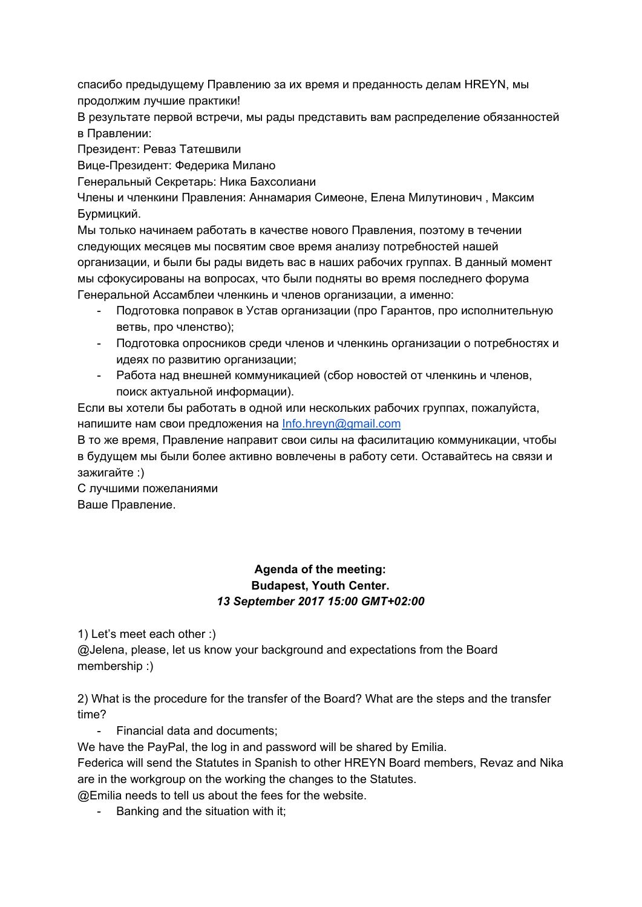спасибо предыдущему Правлению за их время и преданность делам HREYN, мы продолжим лучшие практики!

В результате первой встречи, мы рады представить вам распределение обязанностей в Правлении:

Президент: Реваз Татешвили

Вице-Президент: Федерика Милано

Генеральный Секретарь: Ника Бахсолиани

Члены и членкини Правления: Аннамария Симеоне, Елена Милутинович , Максим Бурмицкий.

Мы только начинаем работать в качестве нового Правления, поэтому в течении следующих месяцев мы посвятим свое время анализу потребностей нашей организации, и были бы рады видеть вас в наших рабочих группах. В данный момент мы сфокусированы на вопросах, что были подняты во время последнего форума Генеральной Ассамблеи членкинь и членов организации, а именно:

- Подготовка поправок в Устав организации (про Гарантов, про исполнительную ветвь, про членство);
- Подготовка опросников среди членов и членкинь организации о потребностях и идеях по развитию организации;
- Работа над внешней коммуникацией (сбор новостей от членкинь и членов, поиск актуальной информации).

Если вы хотели бы работать в одной или нескольких рабочих группах, пожалуйста, напишите нам свои предложения на [Info.hreyn@gmail.com](mailto:Info.hreyn@gmail.com)

В то же время, Правление направит свои силы на фасилитацию коммуникации, чтобы в будущем мы были более активно вовлечены в работу сети. Оставайтесь на связи и зажигайте :)

С лучшими пожеланиями Ваше Правление.

# **Agenda of the meeting: Budapest, Youth Center.** *13 September 2017 15:00 GMT+02:00*

1) Let's meet each other :)

@Jelena, please, let us know your background and expectations from the Board membership :)

2) What is the procedure for the transfer of the Board? What are the steps and the transfer time?

- Financial data and documents;

We have the PayPal, the log in and password will be shared by Emilia.

Federica will send the Statutes in Spanish to other HREYN Board members, Revaz and Nika are in the workgroup on the working the changes to the Statutes.

@Emilia needs to tell us about the fees for the website.

- Banking and the situation with it;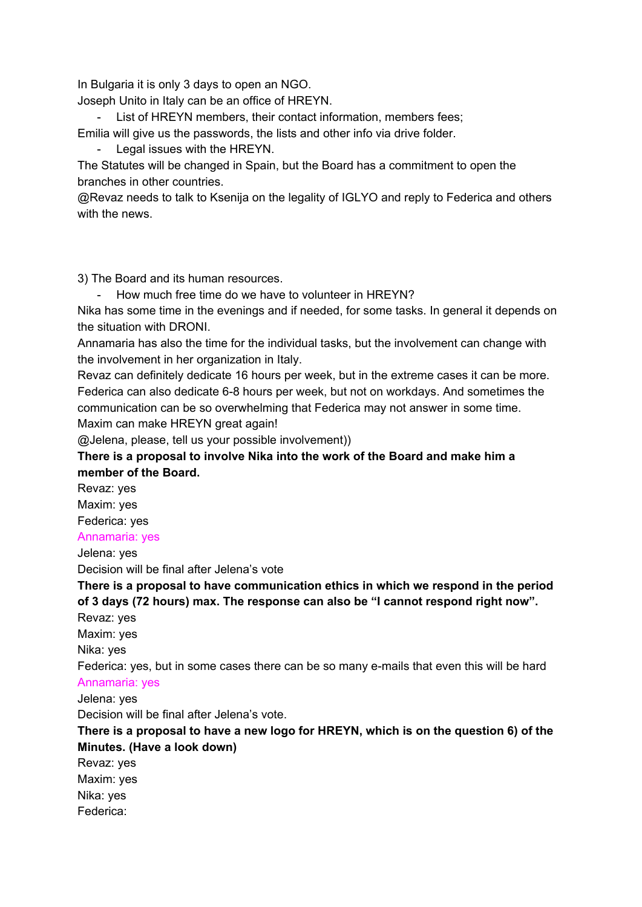In Bulgaria it is only 3 days to open an NGO.

Joseph Unito in Italy can be an office of HREYN.

- List of HREYN members, their contact information, members fees;

Emilia will give us the passwords, the lists and other info via drive folder.

- Legal issues with the HREYN.

The Statutes will be changed in Spain, but the Board has a commitment to open the branches in other countries.

@Revaz needs to talk to Ksenija on the legality of IGLYO and reply to Federica and others with the news.

3) The Board and its human resources.

- How much free time do we have to volunteer in HREYN?

Nika has some time in the evenings and if needed, for some tasks. In general it depends on the situation with DRONI.

Annamaria has also the time for the individual tasks, but the involvement can change with the involvement in her organization in Italy.

Revaz can definitely dedicate 16 hours per week, but in the extreme cases it can be more. Federica can also dedicate 6-8 hours per week, but not on workdays. And sometimes the communication can be so overwhelming that Federica may not answer in some time. Maxim can make HREYN great again!

@Jelena, please, tell us your possible involvement))

# **There is a proposal to involve Nika into the work of the Board and make him a member of the Board.**

Revaz: yes Maxim: yes Federica: yes

### Annamaria: yes

Jelena: yes

Decision will be final after Jelena's vote

**There is a proposal to have communication ethics in which we respond in the period of 3 days (72 hours) max. The response can also be "I cannot respond right now".**

Revaz: yes

Maxim: yes

Nika: yes

Federica: yes, but in some cases there can be so many e-mails that even this will be hard Annamaria: yes

Jelena: yes

Decision will be final after Jelena's vote.

## **There is a proposal to have a new logo for HREYN, which is on the question 6) of the Minutes. (Have a look down)**

Revaz: yes Maxim: yes Nika: yes Federica: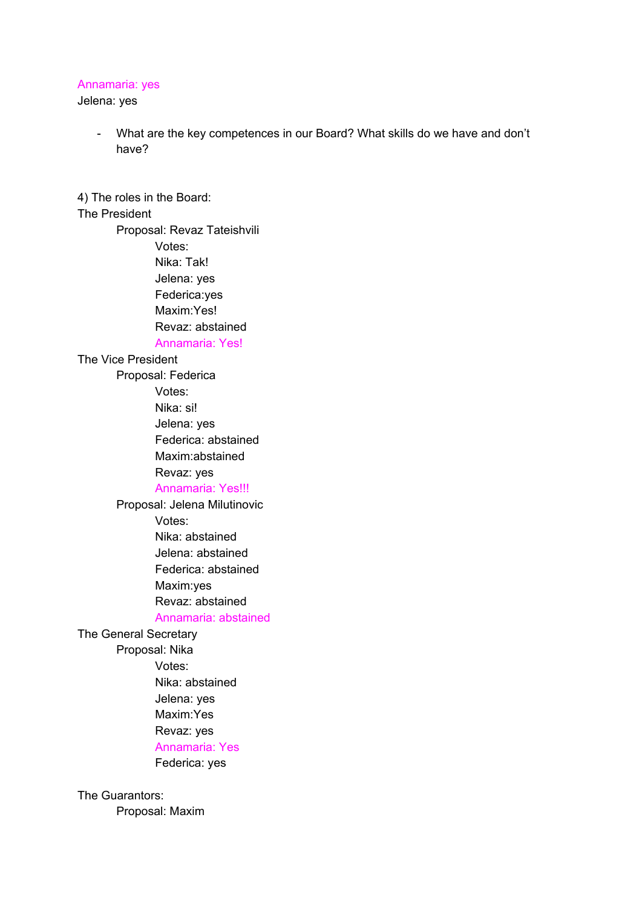#### Annamaria: yes

#### Jelena: yes

- What are the key competences in our Board? What skills do we have and don't have?

4) The roles in the Board: The President Proposal: Revaz Tateishvili Votes: Nika: Tak! Jelena: yes Federica:yes Maxim:Yes! Revaz: abstained Annamaria: Yes! The Vice President Proposal: Federica Votes: Nika: si! Jelena: yes Federica: abstained Maxim:abstained Revaz: yes Annamaria: Yes!!! Proposal: Jelena Milutinovic Votes: Nika: abstained Jelena: abstained Federica: abstained Maxim:yes Revaz: abstained Annamaria: abstained The General Secretary Proposal: Nika Votes: Nika: abstained Jelena: yes Maxim:Yes Revaz: yes Annamaria: Yes

Federica: yes

#### The Guarantors:

Proposal: Maxim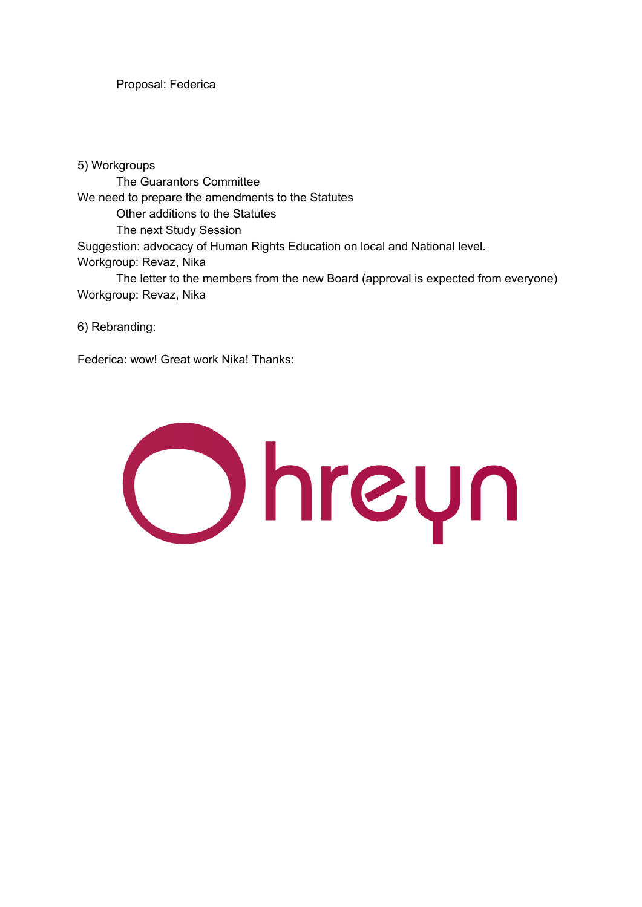Proposal: Federica

5) Workgroups The Guarantors Committee We need to prepare the amendments to the Statutes Other additions to the Statutes The next Study Session Suggestion: advocacy of Human Rights Education on local and National level. Workgroup: Revaz, Nika The letter to the members from the new Board (approval is expected from everyone) Workgroup: Revaz, Nika

6) Rebranding:

Federica: wow! Great work Nika! Thanks:

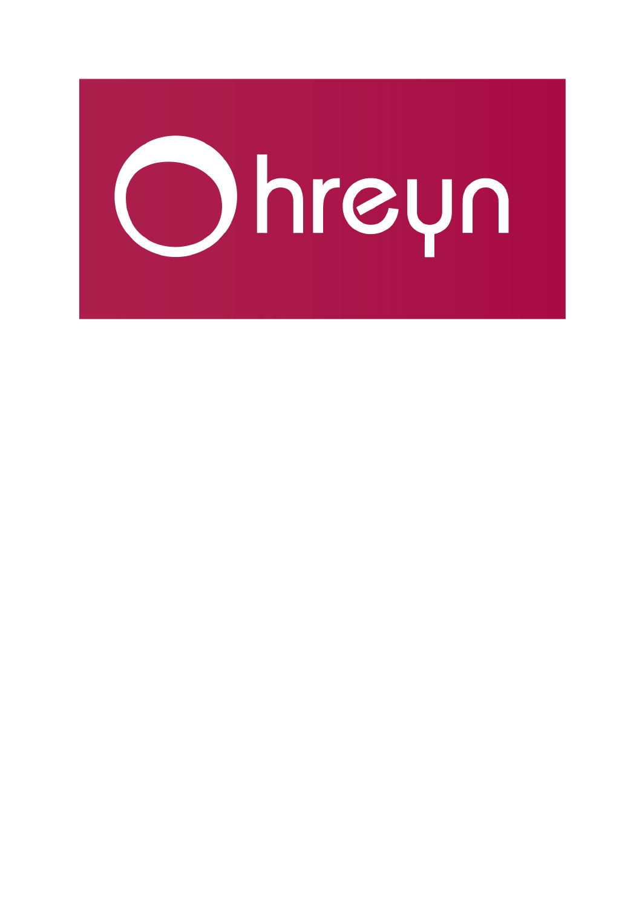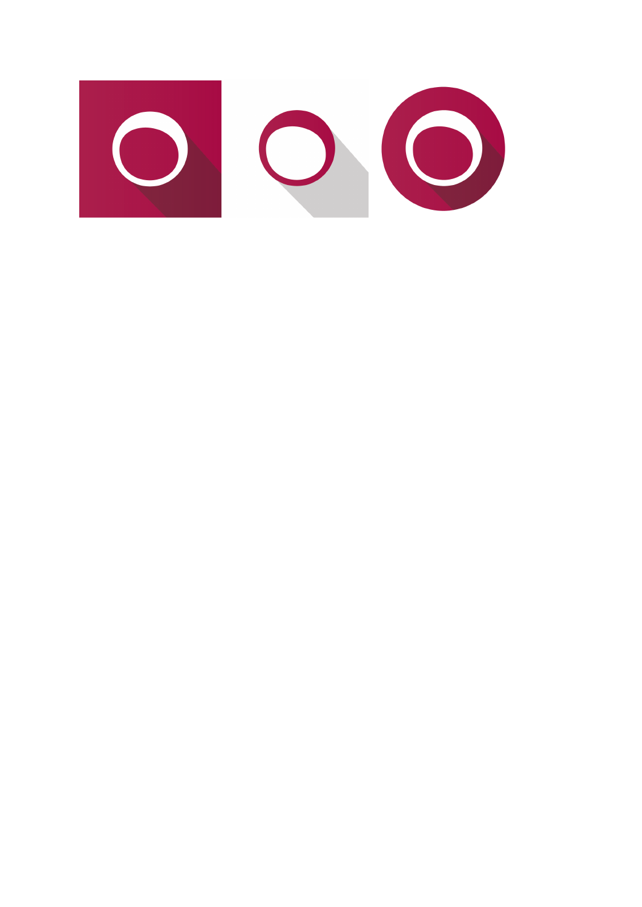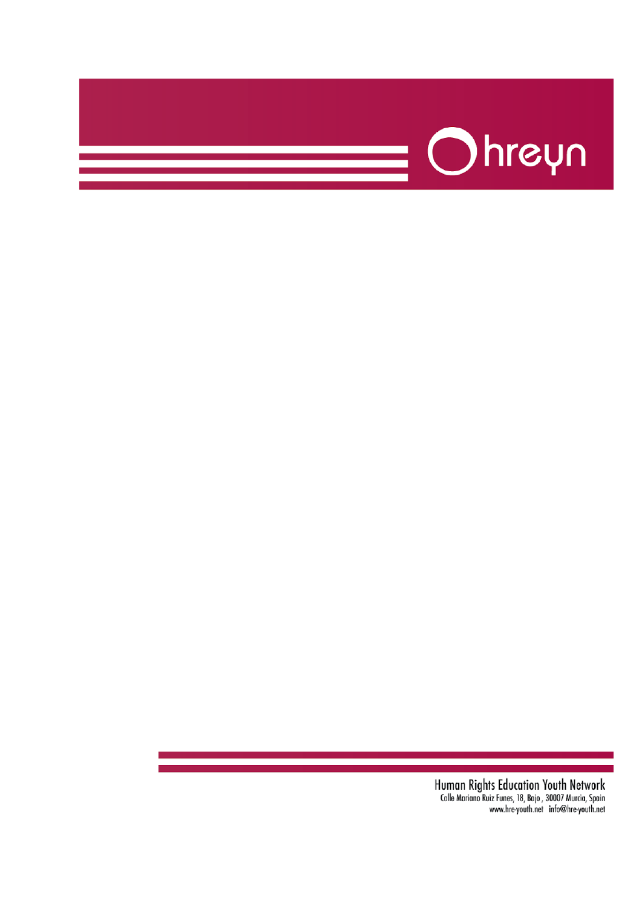

Human Rights Education Youth Network<br>Calle Mariano Ruiz Funes, 18, Bajo , 30007 Murcia, Spain<br>www.hre-youth.net info@hre-youth.net